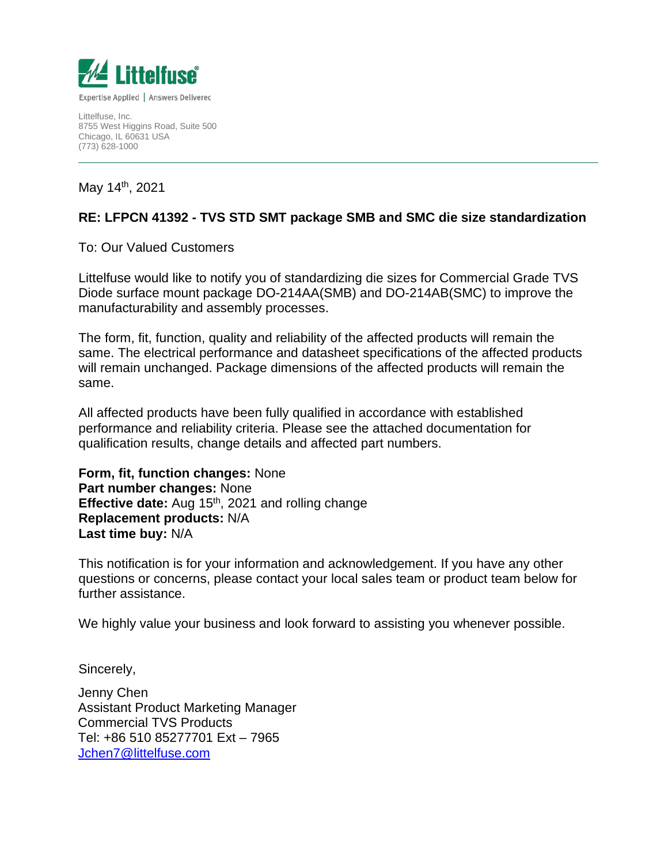

Littelfuse, Inc. 8755 West Higgins Road, Suite 500 Chicago, IL 60631 USA (773) 628-1000

May 14th, 2021

## **RE: LFPCN 41392 - TVS STD SMT package SMB and SMC die size standardization**

## To: Our Valued Customers

Littelfuse would like to notify you of standardizing die sizes for Commercial Grade TVS Diode surface mount package DO-214AA(SMB) and DO-214AB(SMC) to improve the manufacturability and assembly processes.

The form, fit, function, quality and reliability of the affected products will remain the same. The electrical performance and datasheet specifications of the affected products will remain unchanged. Package dimensions of the affected products will remain the same.

All affected products have been fully qualified in accordance with established performance and reliability criteria. Please see the attached documentation for qualification results, change details and affected part numbers.

**Form, fit, function changes:** None **Part number changes:** None **Effective date:** Aug 15<sup>th</sup>, 2021 and rolling change **Replacement products:** N/A **Last time buy:** N/A

This notification is for your information and acknowledgement. If you have any other questions or concerns, please contact your local sales team or product team below for further assistance.

We highly value your business and look forward to assisting you whenever possible.

Sincerely,

Jenny Chen Assistant Product Marketing Manager Commercial TVS Products Tel: +86 510 85277701 Ext – 7965 [Jchen7@littelfuse.com](mailto:Jchen7@littelfuse.com)